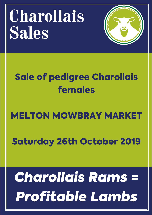# **Charollais Sales**



# Sale of pedigree Charollais females

# MELTON MOWBRAY MARKET

# Saturday 26th October 2019

# *Charollais Rams = Profitable Lambs*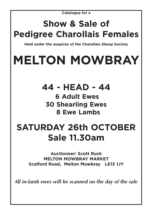**Catalogue for a**

## **Show & Sale of Pedigree Charollais Females**

**Held under the auspices of the Charollais Sheep Society**

# **MELTON MOWBRAY**

**44 - HEAD - 44 6 Adult Ewes 30 Shearling Ewes 8 Ewe Lambs** 

## **SATURDAY 26th OCTOBER Sale 11.30am**

**Auctioneer: Scott Ruck MELTON MOWBRAY MARKET Scalford Road, Melton Mowbray LE13 1JY**

*All in-lamb ewes will be scanned on the day of the sale*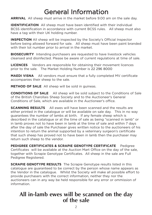### General Information

**ARRIVAL** All sheep must arrive in the market before 9.00 am on the sale day.

**IDENTIFICATION** All sheep must have been identified with their individual BCSS identification in accordance with current BCSS rules. All sheep must also have a tag with their UK holding number.

**INSPECTION** All sheep will be inspected by the Society's Official Inspector before being allowed forward for sale. All sheep must have been paint branded with their lot number prior to arrival in the market.

**BIOSECURITY** Intending purchasers are requested to have livestock vehicles cleansed and disinfected. Please be aware of current regulations at time of sale.

**LICENCES** Vendors are responsible for obtaining their movement licences prior to the sale. The Market Holding Number is 22 296 8000

**MAEDI VISNA** All vendors must ensure that a fully completed MV certificate accompanies their sheep to the sale.

**METHOD OF SALE** All sheep will be sold in guineas.

**CONDITIONS OF SALE** All sheep will be sold subject to the Conditions of Sale of the British Charollais Sheep Society and to the Auctioneer's General Conditions of Sale, which are available in the Auctioneer's office.

**SCANNING RESULTS** All ewes will have been scanned and the results are either printed in the catalogue or will be available on sale day. This in no way guarantees the number of lambs at birth. If any female sheep which is described in the catalogue or at the time of sale as being "scanned in lamb" or in lamb proves not to have been in lamb at the time of sale and within 7 days after the day of sale the Purchaser gives written notice to the auctioneers of his intention to return the animal supported by a veterinary surgeon's certificate that such sheep has proved not to have been in lamb then the purchaser may return such sheep to the vendor.

**PEDIGREE CERTIFICATES & SCRAPIE GENOTYPE CERTIFICATE** Pedigree Certificates will be available at the Auction Mart Office on the day of the sale, together with Scrapie Genotype Certificates. All sheep in the sale are Full Pedigree Registered.

**SCRAPIE GENOTYPE RESULTS** The Scrapie Genotype results listed in this catalogue are guaranteed to be correct by the person whose name appears as the Vendor in the catalogue. Whilst the Society will make all possible effort to provide purchasers with the correct information, neither they nor the auctioneers can in any way be held responsible for any error or ommission of information.

### **All in-lamb ewes will be scanned on the day of the sale**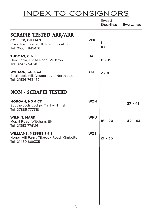### INDEX TO CONSIGNORS

|                                                                                                                      |            | Ewes &<br>Shearlings | Ewe Lambs |
|----------------------------------------------------------------------------------------------------------------------|------------|----------------------|-----------|
| <b>SCRAPIE TESTED ARR/ARR</b><br><b>COLLIER, GILLIAN</b><br>Cokerford, Brixworth Road, Spratton<br>Tel: 01604 845476 | <b>VEP</b> | 10                   |           |
| THOMAS, C & J<br>New Farm, Fosse Road, Wolston<br>Tel: 02476 542409                                                  | <b>UA</b>  | $11 - 15$            |           |
| <b>WATSON, GC &amp; CJ</b><br>Eastbrook Hill, Desborough, Northants<br>Tel: 01536 763462                             | <b>YST</b> | $2 - 9$              |           |
| <b>NON - SCRAPIE TESTED</b>                                                                                          |            |                      |           |
| <b>MORGAN, ND &amp; CD</b><br>Southwoods Lodge, Thirlby, Thirsk<br>Tel: 07885 777318                                 | <b>WZH</b> |                      | $37 - 41$ |
| <b>WILKIN, MARK</b><br>Mepal Road, Witcham, Ely<br>Tel: 01353 776126                                                 | <b>WKU</b> | 16 - 20              | 42 - 44   |
| <b>WILLIAMS, MESSRS J &amp; S</b><br>Honey Hill Farm, Tilbrook Road, Kimbolton<br>Tel: 01480 869335                  | <b>WZS</b> | $21 - 36$            |           |
|                                                                                                                      |            |                      |           |
|                                                                                                                      |            |                      |           |
|                                                                                                                      |            |                      |           |
|                                                                                                                      |            |                      |           |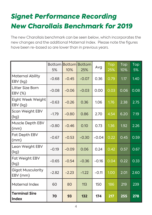## *Signet Performance Recording New Charollais Benchmark for 2019*

The new Charollais benchmark can be seen below, which incorporates the new changes and the additional Maternal Index. Please note the figures have been re-based so are lower than in previous years.

|                                      | 5%      | 10%     | <b>Bottom Bottom Bottom</b><br>25% | Avg     | Top<br>25% | Top<br>10% | Top<br>5% |
|--------------------------------------|---------|---------|------------------------------------|---------|------------|------------|-----------|
| Maternal Ability<br>EBV (kg)         | $-0.68$ | $-0.45$ | $-0.07$                            | 0.36    | 0.79       | 1.17       | 1.40      |
| Litter Size Born<br>EBV (%)          | $-0.08$ | $-0.06$ | $-0.03$                            | 0.00    | 0.03       | 0.06       | 0.08      |
| Eight Week Weight<br>EBV (kg)        | $-0.63$ | $-0.26$ | 0.36                               | 1.06    | 1.76       | 2.38       | 2.75      |
| Scan Weight EBV<br>(kg)              | $-1.79$ | $-0.80$ | 0.86                               | 2.70    | 4.54       | 6.20       | 7.19      |
| Muscle Depth EBV<br>(mm)             | $-0.80$ | $-0.46$ | 0.10                               | 0.73    | 1.36       | 1.92       | 2.26      |
| <b>Fat Depth EBV</b><br>(mm)         | $-0.67$ | $-0.53$ | $-0.30$                            | $-0.04$ | 0.22       | 0.45       | 0.59      |
| Lean Weight EBV<br>(kg)              | $-0.19$ | $-0.09$ | 0.06                               | 0.24    | 0.42       | 0.57       | 0.67      |
| Fat Weight EBV<br>(kg)               | $-0.65$ | $-0.54$ | $-0.36$                            | $-0.16$ | 0.04       | 0.22       | 0.33      |
| <b>Gigot Muscularity</b><br>EBV (mm) | $-2.82$ | $-2.23$ | $-1.22$                            | $-0.11$ | 1.00       | 2.01       | 2.60      |
| <b>Maternal Index</b>                | 60      | 80      | 113                                | 150     | 186        | 219        | 239       |
| <b>Terminal Sire</b><br><b>Index</b> | 70      | 93      | 132                                | 174     | <b>217</b> | 255        | 278       |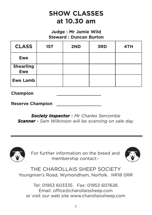### **SHOW CLASSES at 10.30 am**

#### **Judge : Mr Jamie Wild Steward : Duncan Burton**

| <b>CLASS</b>                   | 1ST | 2ND | <b>3RD</b> | 4TH |
|--------------------------------|-----|-----|------------|-----|
| <b>Ewe</b>                     |     |     |            |     |
| <b>Shearling</b><br><b>Ewe</b> |     |     |            |     |
| <b>Ewe Lamb</b>                |     |     |            |     |

**Champion**

**Reserve Champion** 

*Society Inspector - Mr Charles Sercombe Scanner - Sam Wilkinson will be scanning on sale day.*



For further information on the breed and membership contact:-



THE CHAROLLAIS SHEEP SOCIETY Youngman's Road, Wymondham, Norfolk. NR18 0RR

Tel: 01953 603335 Fax: 01953 607626 Email: office@charollaissheep.com or visit our web site www.charollaissheep.com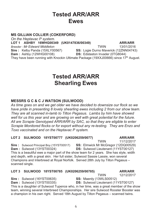### Tested ARR/ARR **Ewes**

#### **MS GILLIAN COLLIER (COKERFORD)**

*On the Heptavac P system.*  **- !"#\$ "%&! !"# ARR/ARR** *Breeder : Mr Edward Middleton*-**TWIN** 13/01/2016 **Sire**: Kelby Panda (15XLY00567) **SS:** Logie Durno Maverick (12ZNN04743) **Dam:** Ashby (12WHG0010 8) **DS:** Edstaston Invader (0TG8044) They have been running with Knockin Ultimate Package (19XXJ00666) since 17<sup>th</sup> August.

### Tested ARR/ARR **Shearling Ewes**

#### MESSRS G C & C J WATSON (SULWOOD)

*As time goes on and we get older we have decided to downsize our flock so we have pride in presenting 8 lovely shearling ewes including 2 from our show team. They are all scanned in-lamb to Tilton Pegasus. Lambs by him have showed well for us this year and are growing on well with great potential for the future. All are Scrapie Genotyped ARR/ARR by SAC, so that they are eligible to enter Scrapie Monitored flocks or for export without any re-testing. They are Enzo and Toxo vaccinated and on the Heptavac P system.* 

#### **-2\$&- %%%\$ 2 23# %%**

#### **ARR/ARR**

**TWIN** 11/12/2017 **Sire**: Sulwood Principal Boy (15YST00517) **SS:** Elmwick Mr McGregor (12DQ00529) **Dam:** Sulwood (13YST00 (**1** ) 324 **DS**: Sulwood Lieutenant (11YST00127) This is a beautiful ewe a major part of the show team for 2 years. She has style, width and depth, with a great skin. Her full sister, Sulwood Sassie Lassie, won several Champions and Interbreed at Royal Norfolk. Served 28th July by Tilton Pegasus – scanned single.

#### **LOT 3** 3 SULWOOD 18YST00785 (UK0206259/00785) **ARR**

**TWIN** 12/12/2017 **Sire**: Sulwood (16YST00635) **SS:** Maerdy (13WLS00512) **Dam:** Sulwood (13YST00 **(335) DS:** Sulwood Lieutenant (11YS100127) This is a daughter of Sulwood Tupence who, in her time, was a great member of the show

team, winning several Interbreed Championships. Her sire Sulwood Rooster Booster was a champion in his own right. Served 18th August by Tilton Pegasus – scanned twins.

**ARR/ARR**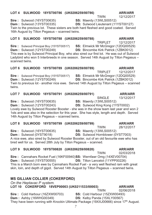#### LOT 4 SULWOOD 18YST00786 (UK0206259/00786)

Sire: Sulwood (16YST00635)

Dam: Sulwood (13YST00335) Twin to the previous lot. These sisters are both hard fleshed and good coated. Served 16th August by Tilton Pegasus - scanned twins.

#### LOT 5 SULWOOD 18YST00788 (UK0206259/00788)

**TRIPLET** 12/12/2017 Sire: Sulwood Principal Boy (15YST00517) SS: Elmwick Mr McGregor (12DQ00529) Dam: Sulwood (12YST00249) **DS:** Bincombe Kirk Patrick (1ZBK0012) This ewe is by Sulwood Principal Boy, who also sired our first lot. He was out of Sulwood Ladybird who won 5 Interbreeds in one season. Served 14th August by Tilton Pegasus scanned twins

LOT 6 SULWOOD 18YST00789 (UK0206259/00789)

**Sire:** Sulwood Principal Boy (15YST00517)

**Dam: Sulwood (12YST00249) DS:** Bincombe Kirk Patrick (1ZBK0012) Twin to previous lot - another nice ewe. Served 14th August by Tilton Pegasus - scanned twins.

#### LOT 7 SULWOOD 18YST00791 (UK0206259/00791)

#### Sire: Sulwood (16YST00635)

**Dam: Sulwood (12YST00243)** 

Lovely ewe by Sulwood Rooster Booster - she was in the show team last year and won 2 1sts and was also in the selection for this year. She has style, length and depth. Served 14th August by Tilton Pegasus - scanned twins.

#### LOT 8 SULWOOD 18YST00799 (UK0206259/00799)

**Sire: Sulwood (16YST00635) SS: Maerdy (13WLS00512) DS:** Sulwood Hornblower (0YST7003) **Dam: Sulwood (0YST9018)** A nice ewe, also sired by Sulwood Rooster Booster, out of an old favourite ewe who has

### bred well for us. Served 28th July by Tilton Pegasus - scanned.

#### LOT 9 SULWOOD 18YST00820 (UK0206259/00820)

**TWIN** 02/03/2018 Sire: Cannahars Rocket Fuel (16KF00940)SS: Wernfawr Omg (14XEV00704) **Dam: Sulwood (15YST00555) DS:** Tilton Lancelot (11YPP00226) This is a March born ewe by Cannahars Rocket Fuel - a very well fleshed ram with great skin, loin, and depth of gigot. Served 14th August by Tilton Pegasus – scanned twins.

#### **MS GILLIAN COLLIER (COKERFORD)**

| On the Heptavac P system.                                                                       |                               |                |
|-------------------------------------------------------------------------------------------------|-------------------------------|----------------|
| LOT 10 COKERFORD 18VEP00003 (UK0211533/00003)                                                   |                               | <b>ARR/ARR</b> |
|                                                                                                 | <b>TWIN</b>                   | 02/06/2018     |
| <b>Sire: Cold Harbour (16ZXW00703)</b>                                                          | SS: Cold Harbour (15ZXW00493) |                |
| <b>Dam: Ashby (16WHG00349)</b>                                                                  | DS: Kelby Panda (15XLY00567)  |                |
| They have been running with Knockin Ultimate Package (19XXJ00666) since 17 <sup>th</sup> August |                               |                |

**TWIN** 12/12/2017

**ARR/ARR** 

**ARR/ARR** 

**SS: Maerdy (13WLS00512) DS:** Sulwood Lieutenant (11YST00127)

> **ARR/ARR** 12/12/2017

**SS: Elmwick Mr McGregor (12DQ00529)** 

13/12/2017

**ARR/ARR** 

DS: Sulwood King Kong (1YST0002)

**SINGLE SS: Maerdy (13WLS00512)** 

**TRIPLET** 

**TWIN** 

**ARR/ARR** 28/12/2017

**ARR/ARR**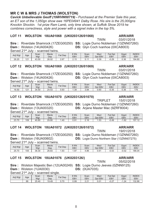#### MR C W & MRS J THOMAS (WOLSTON)

*Cavick Unbelievable Geoff (19WVW00719) - Purchased at the Premier Sale this year, an ET son of the 1,050gn show ewe 16PE04941 Dalby Rose. His sire is the 25,000gns Knockin Shockin. 1st prize Ram Lamb, only time shown, at Suffolk Show 2019 he combines correctness, style and power with a signet index in the top 5%.* 

#### **&
 &
 2 !2 &**

#### **TWIN** 03/01/2018 Sire: Riverdale Shamrock (17ZEG00250) SS: Logie Durno Nobleman (13ZNN07260) 426) **DS:** Glyn Coch Ivanhoe (0XCA8003)

**Dam:** Wolston (14UA00 Served 21<sup>st</sup> July – scanned twins.

| Adj Wgt | Age | Scan<br>Wat | <b>Mscle</b><br>Dep | $F$ at<br>Dep | 8 Wk<br>EB\ | Scan<br>EBV | <b>Mscl</b><br>EBV<br>Dpt | Fat<br>Dpt<br>EBV | Gigot<br><b>EBV</b> | <b>INDEX</b><br><b>EBV</b> |
|---------|-----|-------------|---------------------|---------------|-------------|-------------|---------------------------|-------------------|---------------------|----------------------------|
| 26.20   | 121 | 43.50       | 26.02               | 2.67          | つっに         |             | 0.39                      | $-0.29$           | 0.36                | 194.80                     |

#### **2 &
 #
 2 !2 #**

**TWIN** 03/01/2018 Sire: Riverdale Shamrock (17ZEG00250) SS: Logie Durno Nobleman (13ZNN07260) 426) **DS:** Glyn Coch Ivanhoe (0XCA8003)

**Dam**: Wolston (14UA00 Served 21<sup>st</sup> July – scanned twins.

| Adj Wgt | Age                  | Scan<br>Wgt | <b>Mscle</b><br>Dep | Dep<br>Fat | $3$ MK<br><b>EBV</b> | Scan<br>EBV | Mscl<br>Dpt<br><b>EBV</b> | Fat Dpt<br><b>EBV</b> | Gigot<br><b>EBV</b> | <b>INDEX</b><br><b>EBV</b> |
|---------|----------------------|-------------|---------------------|------------|----------------------|-------------|---------------------------|-----------------------|---------------------|----------------------------|
| 16.50   | $\Omega$<br><u>_</u> | 34.50       | 24.53               | 0.93       | .39                  | 3.84        | 0.60                      | $-0.35$               | 0.36                | 176                        |

#### LOT 13 WOLSTON 18UA01070 (UK0203126/01070) ARR/

Sire: Riverdale Shamrock (17ZEG00250) SS: Logie Durno Nobleman (13ZNN07260) **Dam:** Wolston (13UA00320

Served 21<sup>st</sup> July – scanned twins.

 $25.70$ 

<u> 105 </u>

| Adj Wgt | Age | Scan<br>Wqt | <b>Mscle</b><br>Dep | Fat<br>Dep                | 8 Wk<br>EB\ | Scan<br>EBV    | <b>Mscl</b><br>EBV<br><b>Dpt</b> | Fat<br>Dpt<br><b>EBV</b> | Gigot<br><b>EBV</b> | <b>INDEX</b><br><b>EBV</b> |
|---------|-----|-------------|---------------------|---------------------------|-------------|----------------|----------------------------------|--------------------------|---------------------|----------------------------|
| 23.70   | 109 | 40.80       | ∠9.80               | 4 <sup>c</sup><br>. . – ت | 0.91        | 16<br><u>.</u> | . 53                             | $-0.49$                  | 1.62<br>- 1         | 157<br>$\sqrt{2}$<br>.     |

#### **" &
 %2
 2 !2 %2**

Sire: Riverdale Shamrock (17ZEG00250) SS: Logie Durno Nobleman (13ZNN07260) **Dam:** Wolston (16UA0060 2) **DS:** Logie Durno Northern Star (13ZNN07275)

<u>36.30</u>

Served 21<sup>st</sup> July – scanned twins. Adj Wgt | Age Scan Wgt **Mscle** Dep Fat Dep 8 Wk EBV Scan EBV **Mscl** <u>Dpt</u> EBV Fat Dpt EBV Gigot 26.83  $1.93$  $1.97$ 4.86

#### LOT 15 WOLSTON 18UA01076 (UK0203126/

**Sire**: Wolston Majestic Ben (12UA00249) **SS**: Logie Durno Jeeves (0ZNN9125) **Dam: Wolston (1UA0030 DS:** (0UA7035)

Served 21<sup>st</sup> July – scanned single.

| Adj Wgt | Age | Scan<br>Wgt | <b>Mscle</b><br>Dep | Fat<br>Dep | 8 Wk<br><b>EBV</b> | Scan<br><b>EBV</b>     | <b>Msc</b><br><b>EBV</b><br>Dpt | $at$<br>Dpt<br>EBV   | Gigot<br><b>EBV</b> | <b>INDEX</b><br><b>EBV</b> |
|---------|-----|-------------|---------------------|------------|--------------------|------------------------|---------------------------------|----------------------|---------------------|----------------------------|
|         | 88  | 25.40       | 19.49               | 0.70       | 0.99               | າ າ<br>$\sim$ . $\sim$ | 0.01                            | $\sim$ $\sim$<br>U.Z | . .24               | 132.86                     |

#### **ARR/ARR**

**ARR/ARR** 

**ARR/ARR** 

**TRIPLET** 15/01/2018

**TWIN** 

<u>0.61</u>

**DS:** Arjane Master Mac (9ZRF8004)

**ARR/ARR** 19/01/2018

 $-0.53$  $-0.02$ <u>186.04</u> **a EXECUTE:** ARR/ARR

05/02/2018

EBV

**INDEX** EBV

**TWIN**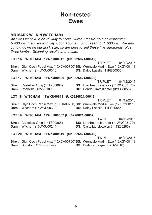### **Non-tested Fwes**

#### **MR MARK WILKIN (WITCHAM)**

All ewes were Al'd on 5<sup>th</sup> July to Logie Durno Klassic, sold at Worcester 5.400ans, then ran with Glyncoch Topman, purchased for 1,600ans. We and cutting down on our flock size, so are here to sell these five shearlings, plus three lambs. Scanning results at the sale.

#### LOT 16 WITCHAM 17WKU00612 (UK0226821/00612)

**TRIPLET** 04/12/2016 Sire: Glyn Coch Pepsi Max (15XCA00700) SS: Wrenvale Mad 4 Ewe (12XGY00118) **Dam:** Witcham (14WKU00310) DS: Dalby Lazelle (11PE00555)

#### LOT 17 WITCHAM 17WKU00620 (UK0226821/00620)

|                                        | <b>IRIPLEI</b><br><u>04/12/2016</u>        |
|----------------------------------------|--------------------------------------------|
| <b>Sire: Castellau Omg (14TZ00885)</b> | <b>SS:</b> Loanhead Liberator (11WNC03170) |
| <b>Dam:</b> Rockvilla (13VV01003)      | <b>DS:</b> Honddu Investigator (0YSS8053)  |

 $0.111010010$ 

#### LOT 18 WITCHAM 17WKU00613 (UK0226821/00613)

04/12/2016 **TRIPLET** Sire: Glyn Coch Pepsi Max (15XCA00700) SS: Wrenvale Mad 4 Ewe (12XGY00118) Dam: Witcham (14WKU00310) DS: Dalby Lazelle (11PE00555)

#### LOT 19 WITCHAM 17WKU00607 (UK0226821/00607)

|                                        | I WIN.                                     | 04/12/2016 |
|----------------------------------------|--------------------------------------------|------------|
| <b>Sire: Castellau Omg (14TZ00885)</b> | <b>SS: Loanhead Liberator (11WNC03170)</b> |            |
| <b>Dam:</b> Witcham (13WKU00244)       | <b>DS:</b> Castellau Llewelyn (11TZ00283)  |            |

#### LOT 20 WITCHAM 17WKU00619 (UK0226821/00619)

**TWIN** 04/12/2016 Sire: Glyn Coch Pepsi Max (15XCA00700) SS: Wrenvale Mad 4 Ewe (12XGY00118) Dam: Dudston (13YBZ00142) **DS:** Dudston Jasper (0YBZ9016)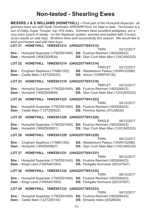### **Non-tested - Shearling Ewes**

**MESSRS J & S WILLIAMS (HONEYHILL) - Final part of the Honeyhill dispersal - all** *gimmers have run with Hyde Terminator ARR/ARR from 1st Sept to date. Terminator is a son of Dalby Super Trooper, top 10% index. Gimmers have excellent pedigrees, are a very even bunch of sheep - on the Heptavac system, wormed and treated with Crovect, (scan results on sale day). Brothers have sold successfully this season. We would like to wish purchasers well with their buys.*  LOT 21 HONEYHILL 18WZS01212 (UK0225779/01212) **TWIN** 02/12/2017 **Sire**: Honeyhill Superstar (17WZS01040) **SS**: Foulrice Reinhart (16DG06423) **\*+ )** 
--" **\*** : Glyn Coch Main Man (12XCA00232)

#### LOT 22 HONEYHILL 18WZS01214 (UK0225779/01214)

TRIPLET 02/12/2017 **Sire**: Crogham Septimus (17AB01352) **S S:** Wedderburn Peleus (15WNY02086) **Dam**: Castle Main (14ZTZ00233) **DS** : Arbryn (12WRF00134)

#### LOT 23 HONEYHILL 18WZS01219 (UK0225779/01219)

**Sire**: Honeyhill Superstar (17WZS01040) **SS**: Foulrice Reinhart (16DG06423) **\*+ )** 
--"2 **\*** : Glyn Coch Main Man (12XCA00232)

#### LOT 24 HONEYHILL 18WZS01223 (UK0225779/01223)

**Sire**: Honeyhill Superstar (17WZS01040) **SS**: Foulrice Reinhart (16DG06423) **Dam**: Castle Main (11ZTZ00022) **DS** : Penrhos Ibanez (0YLK8020)

#### LOT 25 HONEYHILL 18WZS01226 (UK0225779/01226)

SINGLE 06/12/2017 **Sire**: Honeyhill Superstar (17WZS01040) **SS**: Foulrice Reinhart (16DG06423) **\*+ )** 
--". **\*** : Glyn Coch Main Man (12XCA00232)

#### LOT 26 HONEYHILL 18WZS01229 (UK0225779/01229)

TWIN 06/12/2017 **Sire**: Crogham Septimus (17AB01352) **S S:** Wedderburn Peleus (15WNY02086) **\*+ )** 
--" **\*** : Glyn Coch Main Man (12XCA00232)

#### **LOT 27 HONEYHILL 18WZS01231 (UK0225779/01231)**

**Sire**: Honeyhill Superstar (17WZS01040) **SS**: Foulrice Reinhart (16DG06423) **Dam**: Kings Land (13WAA01083) **DS** 

#### LOT 28 HONEYHILL 18WZS01232 (UK0225779/01232)

TWIN 06/12/2017 **Sire**: Honeyhill Superstar (17WZS01040) **SS**: Foulrice Reinhart (16DG06423) **Dam**: Kings Land (13WAA01083) **DS** : Parkgate Hurricane (0ZCA7047)

#### **'- ! "--#\$"%&&'("--**

**Sire**: Honeyhill Superstar (17WZS01040) **SS**: Foulrice Reinhart (16DG06423) **Dam**: Castle Main (12ZTZ00142) **DS** : Elmwick Index (0DQ8030)

06/12/2017

06/12/2017

: Parkgate Hurricane (0ZCA7047)

TWIN

TWIN

TWIN 05/12/2017

TRIPLET 04/12/2017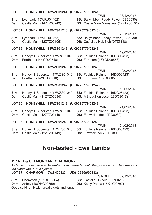| LO 1 30                                                                        | 23/12/2017                                                                                    |
|--------------------------------------------------------------------------------|-----------------------------------------------------------------------------------------------|
| HONEYHILL 18WZS01241 (UK0225/79/01241)                                         | <b>TWIN</b>                                                                                   |
| <b>Sire:</b> Lyonpark (15WRU01462)                                             | <b>SS: Ballyhibben Paddy Power (0B36030)</b>                                                  |
| Dam: Castle Main (14ZTZ00249)                                                  | DS: Castle Main Mainshear (12ZTZ00101)                                                        |
| <b>LOT 31</b>                                                                  | 23/12/2017                                                                                    |
| HONEYHILL 18WZS01243 (UK0225779/01243)                                         | <b>TWIN</b>                                                                                   |
| Sire: Lyonpark (15WRU01462)                                                    | SS: Ballyhibben Paddy Power (0B36030)                                                         |
| Dam: Castle Main (12ZTZ00105)                                                  | DS: Castellau Hob Nob (0TZ7118)                                                               |
| HONEYHILL 18WZS01245 (UK0225779/01245)                                         | 19/02/2018                                                                                    |
| <b>LOT 32</b>                                                                  | <b>TWIN</b>                                                                                   |
| <b>Sire:</b> Honeyhill Superstar (17WZS01040)                                  | SS: Foulrice Reinhart (16DG06423)                                                             |
| Dam: Fordham (14YGD00718)                                                      | DS: Fordham (13YGD00553)                                                                      |
| LOT 33 HONEYHILL 18WZS01246 (UK0225779/01246)                                  | <b>TWIN</b>                                                                                   |
| Sire: Honeyhill Superstar (17WZS01040)<br>Dam: Fordham (14YGD00718)            | 19/02/2018<br>SS: Foulrice Reinhart (16DG06423)<br>DS: Fordham (13YGD00553)                   |
| <b>LOT 34</b>                                                                  | <b>TWIN</b>                                                                                   |
| HONEYHILL 18WZS01247 (UK0225779/01247)                                         | 19/02/2018                                                                                    |
| Sire: Honeyhill Superstar (17WZS01040)                                         | SS: Foulrice Reinhart (16DG06423)                                                             |
| Dam: Castle Main (11ZTZ00034)                                                  | <b>DS:</b> Artnagullion Jose (0ZGQ9017)                                                       |
| HONEYHILL 18WZS01248 (UK0225779/01248)<br><b>LOT 35</b>                        |                                                                                               |
| Sire: Honeyhill Superstar (17WZS01040)<br>Dam: Castle Main (12ZTZ00149)        | 24/02/2018<br><b>TWIN</b><br>SS: Foulrice Reinhart (16DG06423)<br>DS: Elmwick Index (0DQ8030) |
| <b>LOT 36</b><br>HONEYHILL 18WZS01249 (UK0225779/01249)                        |                                                                                               |
| <b>Sire: Honeyhill Superstar (17WZS01040)</b><br>Dam: Castle Main (12ZTZ00149) | <b>TWIN</b><br>24/02/2018<br>SS: Foulrice Reinhart (16DG06423)<br>DS: Elmwick Index (0DQ8030) |

### **Non-tested - Ewe Lambs**

#### **MR N D & C D MORGAN (CHARMOR)**

All lambs presented are December born, creep fed until the grass came. They are all on the Heptavac P Plus system.

LOT 37 CHARMOR 19WZH00133 (UK0137509/00133)

**SINGLE** 02/12/2018

Sire: Shamrock (15XRL00364)

 $\mathbf{A}$ 

 $10117001011$ 

SS: Castellau Ginola (0TZ6026)

**Dam:** Ashby (16WHG00359)

DS: Kelby Panda (15XLY00567)

Good solid lamb with great gigots and length.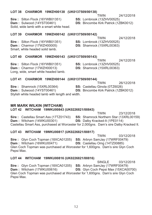#### LOT 38 CHARMOR 19WZH00138 (UK0137509/00138) **TWIN**

24/12/2018

**Sire: Silton Flock (16YWB01351) Dam: Sulwood (14YST00461)** Solid, wide lamb with a smart white head.

- SS: Lornbrook (13ZHV00525)
- **DS:** Bincombe Kirk Patrick (1ZBK0012)

#### CHARMOR 19WZH00142 (UK0137509/00142) **LOT 39**

**TWIN** 24/12/2018

Sire: Silton Flock (16YWB01351) Dam: Charmor (17WZH00005) Smart, white headed solid lamb.

SS: Lornbrook (13ZHV00525)

DS: Shamrock (15XRL00363)

#### LOT 40 CHARMOR 19WZH00143 (UK0137509/00143)

Sire: Silton Flock (16YWB01351) Dam: Charmor (17WZH00013) Long, wide, smart white headed lamb.

**TWIN** 24/12/2018 SS: Lornbrook (13ZHV00525)

DS: Shamrock (15XRL00363)

#### **LOT 41** CHARMOR 19WZH00144 (UK0137509/00144)

26/12/2018 **TWIN** Sire: Shamrock (15XRL00364) SS: Castellau Ginola (0TZ6026) **Dam: Sulwood (14YST00461) DS:** Bincombe Kirk Patrick (1ZBK0012) Stylish white headed lamb with length and width.

#### **MR MARK WILKIN (WITCHAM)**

#### LOT 42 WITCHAM 19WKU00843 (UK0226821/00843)

**TWIN** 23/12/2018 **Sire: Castellau Smart Ass (17TZ01743) SS:** Shamrock Northern Star (13XRL00159) Dam: Witcham (14WKU00301) **DS: Dalby Kracked-It (1PE0114)** Castellau Smart Ass, purchased at Worcester for 2.000gns. Dam's sire Dalby Kracked It.

#### LOT 43 WITCHAM 19WKU00817 (UK0226821/00817)

**TWIN** 03/12/2018 **Sire:** Glyn Coch Topman (18XCA01205) **SS: Arbryn SamJay (17WRF00479)** Dam: Witcham (16WKU00471) DS: Castellau Omg (14TZ00885) Glen Coch Topman was purchased at Worcester for 1,600gns. Dam's sire Glyn Coch Pepsi Max.

#### LOT 44 WITCHAM 19WKU00816 (UK0226821/00816)

**SINGLE** 03/12/2018 Sire: Glyn Coch Topman (18XCA01205) SS: Arbryn SamJay (17WRF00479) Dam: Witcham (17WKU00616) DS: Glyn Coch Pepsi Max (15XCA00700) Glen Coch Topman was purchased at Worcester for 1,600gns. Dam's sire Glyn Coch Pepsi Max.